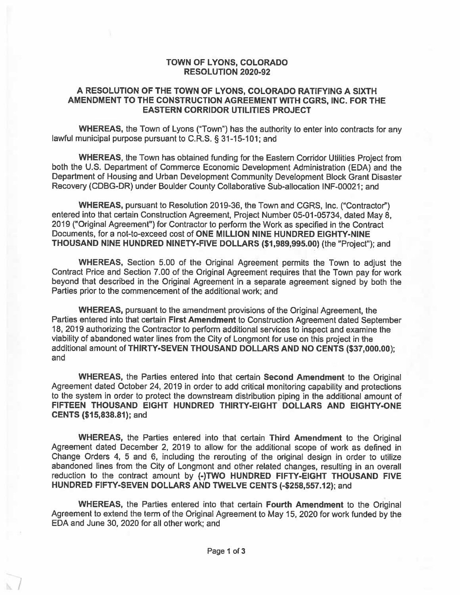#### TOWN OF LYONS, COLORADO **RESOLUTION 2020-92**

#### A RESOLUTION OF THE TOWN OF LYONS, COLORADO RATIFYING A SIXTH AMENDMENT TO THE CONSTRUCTION AGREEMENT WITH CGRS. INC. FOR THE **EASTERN CORRIDOR UTILITIES PROJECT**

WHEREAS, the Town of Lyons ("Town") has the authority to enter into contracts for any lawful municipal purpose pursuant to C.R.S. § 31-15-101; and

WHEREAS, the Town has obtained funding for the Eastern Corridor Utilities Project from both the U.S. Department of Commerce Economic Development Administration (EDA) and the Department of Housing and Urban Development Community Development Block Grant Disaster Recovery (CDBG-DR) under Boulder County Collaborative Sub-allocation INF-00021; and

WHEREAS, pursuant to Resolution 2019-36, the Town and CGRS, Inc. ("Contractor") entered into that certain Construction Agreement, Project Number 05-01-05734, dated May 8, 2019 ("Original Agreement") for Contractor to perform the Work as specified in the Contract Documents, for a not-to-exceed cost of ONE MILLION NINE HUNDRED EIGHTY-NINE THOUSAND NINE HUNDRED NINETY-FIVE DOLLARS (\$1,989,995.00) (the "Project"); and

WHEREAS, Section 5.00 of the Original Agreement permits the Town to adjust the Contract Price and Section 7.00 of the Original Agreement requires that the Town pay for work beyond that described in the Original Agreement in a separate agreement signed by both the Parties prior to the commencement of the additional work; and

WHEREAS, pursuant to the amendment provisions of the Original Agreement, the Parties entered into that certain First Amendment to Construction Agreement dated September 18, 2019 authorizing the Contractor to perform additional services to inspect and examine the viability of abandoned water lines from the City of Longmont for use on this project in the additional amount of THIRTY-SEVEN THOUSAND DOLLARS AND NO CENTS (\$37,000.00); and

WHEREAS, the Parties entered into that certain Second Amendment to the Original Agreement dated October 24, 2019 in order to add critical monitoring capability and protections to the system in order to protect the downstream distribution piping in the additional amount of FIFTEEN THOUSAND EIGHT HUNDRED THIRTY-EIGHT DOLLARS AND EIGHTY-ONE **CENTS (\$15,838.81); and** 

WHEREAS, the Parties entered into that certain Third Amendment to the Original Agreement dated December 2, 2019 to allow for the additional scope of work as defined in Change Orders 4, 5 and 6, including the rerouting of the original design in order to utilize abandoned lines from the City of Longmont and other related changes, resulting in an overall reduction to the contract amount by (-)TWO HUNDRED FIFTY-EIGHT THOUSAND FIVE HUNDRED FIFTY-SEVEN DOLLARS AND TWELVE CENTS (-\$258,557.12); and

WHEREAS, the Parties entered into that certain Fourth Amendment to the Original Agreement to extend the term of the Original Agreement to May 15, 2020 for work funded by the EDA and June 30, 2020 for all other work; and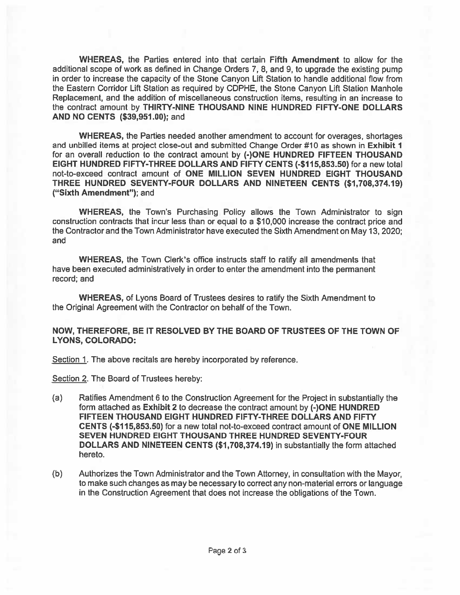**WHEREAS, the Parties entered into that certain Fifth Amendment to allow for the** additional scope of work as defined in Change Orders 7, 8, and 9, to upgrade the existing pump in order to increase the capacity of the Stone Canyon Lift Station to handle additional flow from the Eastern Corridor Lift Station as required by CDPHE, the Stone Canyon Lift Station Manhole Replacement, and the addition of miscellaneous construction items, resulting in an increase to the contract amount by THIRTY-NINE THOUSAND NINE HUNDRED FIFTY-ONE DOLLARS AND NO CENTS (\$39,951.00); and

**WHEREAS, the Parties needed another amendment to account for overages, shortages** and unbilled items at project close-out and submitted Change Order #10 as shown in Exhibit 1 for an overall reduction to the contract amount by (-)ONE HUNDRED FIFTEEN THOUSAND EIGHT HUNDRED FIFTY-THREE DOLLARS AND FIFTY CENTS (-\$115,853.50) for a new total not-to-exceed contract amount of ONE MILLION SEVEN HUNDRED EIGHT THOUSAND THREE HUNDRED SEVENTY-FOUR DOLLARS AND NINETEEN CENTS (\$1,708,374,19) ("Sixth Amendment"); and

**WHEREAS, the Town's Purchasing Policy allows the Town Administrator to sign** construction contracts that incur less than or equal to a \$10,000 increase the contract price and the Contractor and the Town Administrator have executed the Sixth Amendment on May 13, 2020; and

WHEREAS, the Town Clerk's office instructs staff to ratify all amendments that have been executed administratively in order to enter the amendment into the permanent record; and

**WHEREAS, of Lyons Board of Trustees desires to ratify the Sixth Amendment to** the Original Agreement with the Contractor on behalf of the Town.

#### NOW, THEREFORE, BE IT RESOLVED BY THE BOARD OF TRUSTEES OF THE TOWN OF **LYONS, COLORADO:**

Section 1. The above recitals are hereby incorporated by reference.

Section 2. The Board of Trustees hereby:

- $(a)$ Ratifies Amendment 6 to the Construction Agreement for the Project in substantially the form attached as Exhibit 2 to decrease the contract amount by (-)ONE HUNDRED FIFTEEN THOUSAND EIGHT HUNDRED FIFTY-THREE DOLLARS AND FIFTY CENTS (-\$115,853.50) for a new total not-to-exceed contract amount of ONE MILLION SEVEN HUNDRED EIGHT THOUSAND THREE HUNDRED SEVENTY-FOUR DOLLARS AND NINETEEN CENTS (\$1,708,374.19) in substantially the form attached hereto.
- $(b)$ Authorizes the Town Administrator and the Town Attorney, in consultation with the Mayor, to make such changes as may be necessary to correct any non-material errors or language in the Construction Agreement that does not increase the obligations of the Town.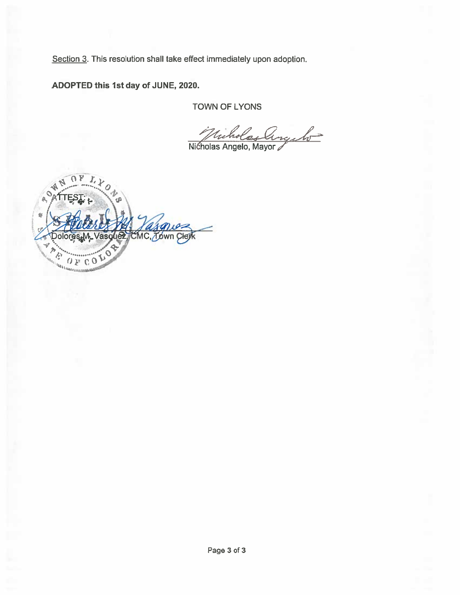Section 3. This resolution shall take effect immediately upon adoption.

ADOPTED this 1st day of JUNE, 2020.

**TOWN OF LYONS** 

Nicholas Angelo

ń MC.*⊼b*wn яs  $\mathbf{O}$  $\mathbb{C}$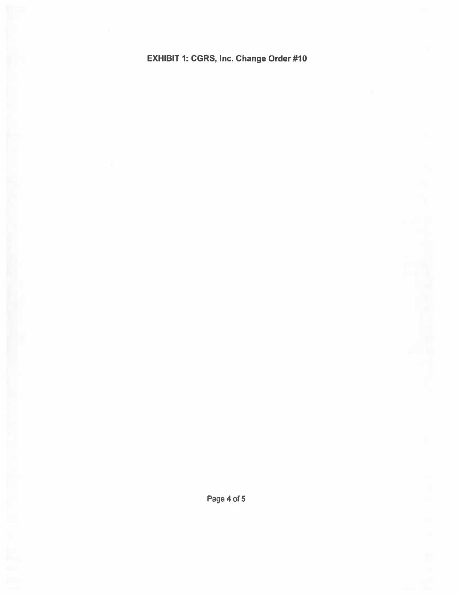EXHIBIT 1: CGRS, Inc. Change Order #10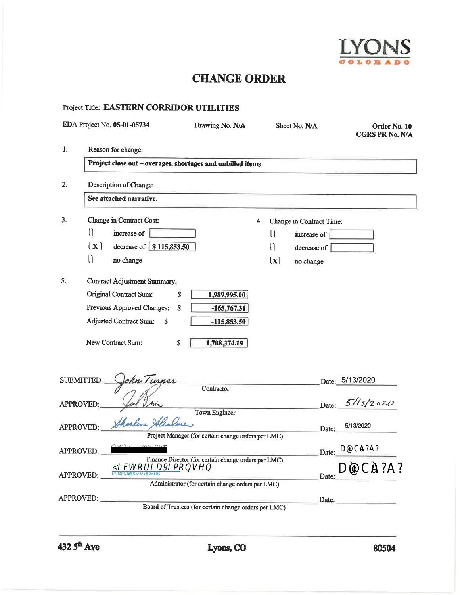

## **CHANGE ORDER**

|    | EDA Project No. 05-01-05734                                | Drawing No. N/A                                       |              | Sheet No. N/A                   | Order No. 10<br><b>CGRS PR No. N/A</b> |
|----|------------------------------------------------------------|-------------------------------------------------------|--------------|---------------------------------|----------------------------------------|
| 1. | Reason for change:                                         |                                                       |              |                                 |                                        |
|    | Project close out - overages, shortages and unbilled items |                                                       |              |                                 |                                        |
| 2. | Description of Change:                                     |                                                       |              |                                 |                                        |
|    | See attached narrative.                                    |                                                       |              |                                 |                                        |
| 3. | Change in Contract Cost:                                   | 4.                                                    |              | <b>Change in Contract Time:</b> |                                        |
|    | U<br>increase of                                           |                                                       | $\cup$       | increase of                     |                                        |
|    | $\mathbf{x}$<br>decrease of \$115,853.50                   |                                                       | U            | decrease of                     |                                        |
|    | $\prod$<br>no change                                       |                                                       | $\mathbf{x}$ | no change                       |                                        |
| 5. | <b>Contract Adjustment Summary:</b>                        |                                                       |              |                                 |                                        |
|    | Original Contract Sum:<br>\$                               | 1,989,995.00                                          |              |                                 |                                        |
|    | Previous Approved Changes:<br>S                            | $-165,767.31$                                         |              |                                 |                                        |
|    | <b>Adjusted Contract Sum:</b><br>\$                        | $-115,853.50$                                         |              |                                 |                                        |
|    | New Contract Sum:<br>\$                                    | 1,708,374.19                                          |              |                                 |                                        |
|    | SUBMITTED:<br>hn Turner                                    |                                                       |              |                                 | Date: 5/13/2020                        |
|    |                                                            | Contractor                                            |              |                                 |                                        |
|    | <b>APPROVED:</b>                                           | <b>Town Engineer</b>                                  |              | Date:                           | 51/3/2020                              |
|    | Shorlene St<br><b>APPROVED:</b>                            |                                                       |              | Date:                           | 5/13/2020                              |
|    |                                                            | Project Manager (for certain change orders per LMC)   |              |                                 |                                        |
|    | APPROVED:                                                  |                                                       |              | Date:                           | and the company of the company of      |
|    |                                                            | Finance Director (for certain change orders per LMC)  |              |                                 |                                        |
|    | APPROVED:                                                  |                                                       |              | Date:                           |                                        |
|    |                                                            | Administrator (for certain change orders per LMC)     |              |                                 |                                        |
|    | APPROVED:                                                  | Board of Trustees (for certain change orders per LMC) |              | Date: $\_\_$                    |                                        |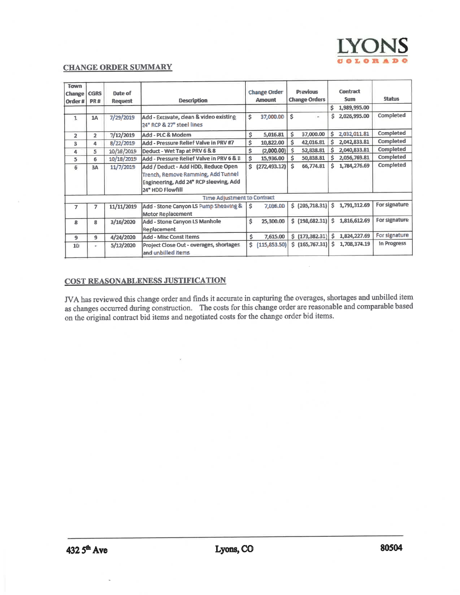

#### **CHANGE ORDER SUMMARY**

| Town<br>Change<br>Order# | <b>CGRS</b><br><b>PR#</b> | Date of<br><b>Request</b> | <b>Description</b>                                                                                                                      | <b>Change Order</b><br>Amount |               |    |                                                                |   |              |               |  | <b>Previous</b><br><b>Change Orders</b> |  |  |  | <b>Contract</b><br><b>Sum</b> | <b>Status</b> |
|--------------------------|---------------------------|---------------------------|-----------------------------------------------------------------------------------------------------------------------------------------|-------------------------------|---------------|----|----------------------------------------------------------------|---|--------------|---------------|--|-----------------------------------------|--|--|--|-------------------------------|---------------|
|                          |                           |                           |                                                                                                                                         |                               |               |    |                                                                | ŝ | 1,989,995.00 |               |  |                                         |  |  |  |                               |               |
| $\mathbf{1}$             | <b>1A</b>                 | 7/29/2019                 | Add - Excavate, clean & video existing<br>24" RCP & 27" steel lines                                                                     | \$                            | 37,000.00     | Ś  | ×.                                                             | Ŝ | 2,026,995.00 | Completed     |  |                                         |  |  |  |                               |               |
| $\overline{2}$           | $\overline{2}$            | 7/12/2019                 | Add - PLC & Modern                                                                                                                      | \$                            | 5,016.81      | Ś. | 37,000.00                                                      | Ś | 2.032.011.81 | Completed     |  |                                         |  |  |  |                               |               |
| 3                        | 4                         | 8/22/2019                 | Add - Pressure Relief Valve in PRV #7                                                                                                   | Ś.                            | 10,822.00     | Ŝ. | 42,016.81                                                      | Ŝ | 2,042,833.81 | Completed     |  |                                         |  |  |  |                               |               |
| 4                        | s                         | 10/18/2019                | Deduct - Wet Tap at PRV 6 & 8                                                                                                           | Ŝ                             | (2,000.00)    | Ś  | 52.838.81                                                      | Ś | 2,040,833.81 | Completed     |  |                                         |  |  |  |                               |               |
| 5                        | 6.                        | 10/18/2019                | Add - Pressure Relief Valve in PRV 6 & 8                                                                                                | Ś.                            | 15,936.00     | Ś. | 50,838.81                                                      | Ŝ | 2,056,769.81 | Completed     |  |                                         |  |  |  |                               |               |
| 6                        | 3A                        | 11/7/2019                 | Add / Deduct - Add HDD, Reduce Open<br>Trench, Remove Ramming, Add Tunnel<br>Engineering, Add 24" RCP sleeving, Add<br>24" HDD Flowfill | s.                            | (272, 493.12) | Ś  | 66,774.81                                                      | Ś | 1.784,276.69 | Completed     |  |                                         |  |  |  |                               |               |
|                          |                           |                           | <b>Time Adjustment to Contract</b>                                                                                                      |                               |               |    |                                                                |   |              |               |  |                                         |  |  |  |                               |               |
| $\overline{I}$           |                           | 11/11/2019                | Add - Stone Canyon LS Pump Sheaving &<br><b>Motor Replacement</b>                                                                       | Ŝ.                            | 7.036.00      |    | $$$ (205,718.31)                                               | Ś | 1,791,312.69 | For signature |  |                                         |  |  |  |                               |               |
| ß.                       | 8                         | 3/16/2020                 | Add - Stone Canyon LS Manhole<br>Replacement                                                                                            | Ś                             | 25,300,00     |    | $$$ (198,682.31)                                               | Ś | 1,816,612.69 | For signature |  |                                         |  |  |  |                               |               |
| 9                        | 9                         | 4/24/2020                 | <b>Add - Misc Const Items</b>                                                                                                           | Ś.                            | 7,615.00      |    | $\left  \frac{1}{2}$ (173,382.31) $\left  \frac{1}{2} \right $ |   | 1,824,227.69 | For signature |  |                                         |  |  |  |                               |               |
| 10                       | ÷                         | 5/12/2020                 | Project Close Out - overages, shortages<br>and unbilled items                                                                           | Ś.                            | (115, 853.50) |    | \$ [165,767.31]                                                | Ś | 1,708,374,19 | In Progress   |  |                                         |  |  |  |                               |               |

#### COST REASONABLENESS JUSTIFICATION

JVA has reviewed this change order and finds it accurate in capturing the overages, shortages and unbilled item as changes occurred during construction. The costs for this change order are reasonable and comparable based on the original contract bid items and negotiated costs for the change order bid items.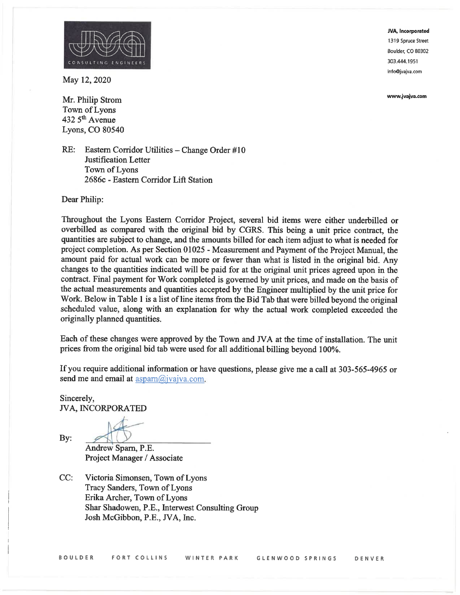

www.ivaiva.com



May 12, 2020

Mr. Philip Strom Town of Lyons 432 5<sup>th</sup> Avenue Lyons, CO 80540

RE: Eastern Corridor Utilities - Change Order #10 **Justification Letter** Town of Lyons 2686c - Eastern Corridor Lift Station

Dear Philip:

Throughout the Lyons Eastern Corridor Project, several bid items were either underbilled or overbilled as compared with the original bid by CGRS. This being a unit price contract, the quantities are subject to change, and the amounts billed for each item adjust to what is needed for project completion. As per Section 01025 - Measurement and Payment of the Project Manual, the amount paid for actual work can be more or fewer than what is listed in the original bid. Any changes to the quantities indicated will be paid for at the original unit prices agreed upon in the contract. Final payment for Work completed is governed by unit prices, and made on the basis of the actual measurements and quantities accepted by the Engineer multiplied by the unit price for Work. Below in Table 1 is a list of line items from the Bid Tab that were billed beyond the original scheduled value, along with an explanation for why the actual work completed exceeded the originally planned quantities.

Each of these changes were approved by the Town and JVA at the time of installation. The unit prices from the original bid tab were used for all additional billing beyond 100%.

If you require additional information or have questions, please give me a call at 303-565-4965 or send me and email at  $\text{aspan}(a)$  jvajva.com.

Sincerely, **JVA, INCORPORATED** 

By:

Andrew Sparn, P.E. Project Manager / Associate

 $CC:$ Victoria Simonsen, Town of Lyons Tracy Sanders, Town of Lyons Erika Archer, Town of Lyons Shar Shadowen, P.E., Interwest Consulting Group Josh McGibbon, P.E., JVA, Inc.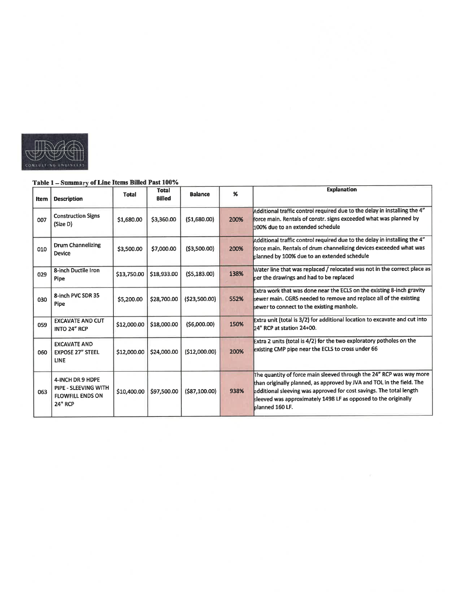

#### Table 1 - Summary of Line Items Billed Past 100%

| Item | <b>Description</b>                                                                    | Total       | <b>Total</b><br><b>Billed</b> | <b>Balance</b>      | %    | <b>Explanation</b>                                                                                                                                                                                                                                                                                       |
|------|---------------------------------------------------------------------------------------|-------------|-------------------------------|---------------------|------|----------------------------------------------------------------------------------------------------------------------------------------------------------------------------------------------------------------------------------------------------------------------------------------------------------|
| 007  | <b>Construction Signs</b><br>(Size D)                                                 | \$1,680.00  | \$3,360.00                    | (51,680.00)         | 200% | Additional traffic control required due to the delay in installing the 4"<br>force main. Rentals of constr. signs exceeded what was planned by<br>100% due to an extended schedule                                                                                                                       |
| 010  | <b>Drum Channelizing</b><br>Device                                                    | \$3,500.00  | \$7,000.00                    | ( \$3,500.00)       | 200% | Additional traffic control required due to the delay in installing the 4"<br>force main. Rentals of drum channelizing devices exceeded what was<br>planned by 100% due to an extended schedule                                                                                                           |
| 029  | 8-inch Ductile Iron<br>Pipe                                                           | \$13,750.00 | \$18,933.00                   | (55, 183.00)        | 138% | Water line that was replaced / relocated was not in the correct place as<br>per the drawings and had to be replaced                                                                                                                                                                                      |
| 030  | 8-inch PVC SDR 35<br>Pipe                                                             | \$5,200.00  | \$28,700.00                   | (523,500.00)        | 552% | Extra work that was done near the ECLS on the existing 8-inch gravity<br>kewer main. CGRS needed to remove and replace all of the existing<br>sewer to connect to the existing manhole.                                                                                                                  |
| 059  | <b>EXCAVATE AND CUT</b><br>INTO 24" RCP                                               | \$12,000.00 | \$18,000.00                   | ( \$6,000.00)       | 150% | Extra unit (total is 3/2) for additional location to excavate and cut into<br>24" RCP at station 24+00.                                                                                                                                                                                                  |
| 060  | <b>EXCAVATE AND</b><br><b>EXPOSE 27" STEEL</b><br><b>LINE</b>                         | \$12,000.00 | \$24,000.00                   | (512,000.00)        | 200% | Extra 2 units (total is 4/2) for the two exploratory potholes on the<br>existing CMP pipe near the ECLS to cross under 66                                                                                                                                                                                |
| 063  | 4-INCH DR 9 HDPE<br>PIPE - SLEEVING WITH<br><b>FLOWFILL ENDS ON</b><br><b>24" RCP</b> | \$10,400.00 | \$97,500.00                   | $($ \$87,100.00 $)$ | 938% | The quantity of force main sleeved through the 24" RCP was way more<br>than originally planned, as approved by JVA and TOL in the field. The<br>additional sleeving was approved for cost savings. The total length<br>sleeved was approximately 1498 LF as opposed to the originally<br>blanned 160 LF. |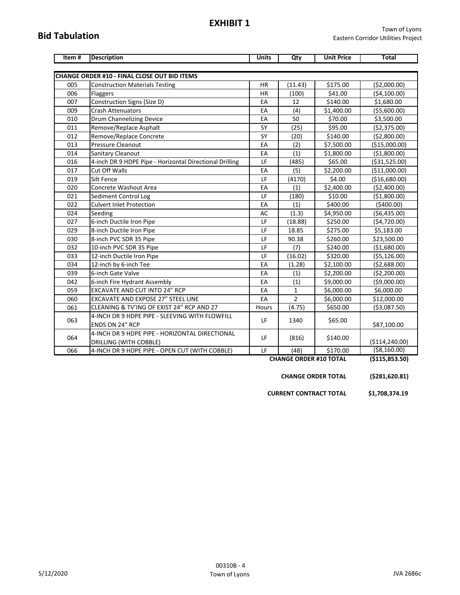#### **EXHIBIT 1**

### **Bid Tabulation**

| Item# | <b>Description</b>                                      | <b>Units</b> | Qty            | <b>Unit Price</b> | <b>Total</b>   |
|-------|---------------------------------------------------------|--------------|----------------|-------------------|----------------|
|       |                                                         |              |                |                   |                |
|       | <b>CHANGE ORDER #10 - FINAL CLOSE OUT BID ITEMS</b>     |              |                |                   |                |
| 005   | <b>Construction Materials Testing</b>                   | <b>HR</b>    | (11.43)        | \$175.00          | ( \$2,000.00)  |
| 006   | Flaggers                                                | <b>HR</b>    | (100)          | \$41.00           | (54, 100.00)   |
| 007   | Construction Signs (Size D)                             | EA           | 12             | \$140.00          | \$1,680.00     |
| 009   | <b>Crash Attenuators</b>                                | EA           | (4)            | \$1,400.00        | ( \$5,600.00)  |
| 010   | Drum Channelizing Device                                | EA           | 50             | \$70.00           | \$3,500.00     |
| 011   | Remove/Replace Asphalt                                  | SY           | (25)           | \$95.00           | ( \$2,375.00)  |
| 012   | Remove/Replace Concrete                                 | SY           | (20)           | \$140.00          | ( \$2,800.00)  |
| 013   | <b>Pressure Cleanout</b>                                | EA           | (2)            | \$7,500.00        | (\$15,000.00)  |
| 014   | Sanitary Cleanout                                       | EA           | (1)            | \$1,800.00        | (\$1,800.00)   |
| 016   | 4-inch DR 9 HDPE Pipe - Horizontal Directional Drilling | LF           | (485)          | \$65.00           | ( \$31,525.00) |
| 017   | Cut Off Walls                                           | EA           | (5)            | \$2,200.00        | (\$11,000.00)  |
| 019   | Silt Fence                                              | LF           | (4170)         | \$4.00            | (\$16,680.00)  |
| 020   | Concrete Washout Area                                   | EA           | (1)            | \$2,400.00        | ( \$2,400.00)  |
| 021   | Sediment Control Log                                    | LF           | (180)          | \$10.00           | ( \$1,800.00)  |
| 022   | <b>Culvert Inlet Protection</b>                         | EA           | (1)            | \$400.00          | (\$400.00)     |
| 024   | Seeding                                                 | AC           | (1.3)          | \$4,950.00        | ( \$6,435.00)  |
| 027   | 6-inch Ductile Iron Pipe                                | LF           | (18.88)        | \$250.00          | (\$4,720.00)   |
| 029   | 8-inch Ductile Iron Pipe                                | LF           | 18.85          | \$275.00          | \$5,183.00     |
| 030   | 8-inch PVC SDR 35 Pipe                                  | LF           | 90.38          | \$260.00          | \$23,500.00    |
| 032   | 10-inch PVC SDR 35 Pipe                                 | LF           | (7)            | \$240.00          | (\$1,680.00)   |
| 033   | 12-inch Ductile Iron Pipe                               | LF           | (16.02)        | \$320.00          | ( \$5,126.00)  |
| 034   | 12-inch by 6-inch Tee                                   | EA           | (1.28)         | \$2,100.00        | (52,688.00)    |
| 039   | 6-inch Gate Valve                                       | EA           | (1)            | \$2,200.00        | ( \$2,200.00)  |
| 042   | 6-inch Fire Hydrant Assembly                            | EA           | (1)            | \$9,000.00        | ( \$9,000.00)  |
| 059   | EXCAVATE AND CUT INTO 24" RCP                           | EA           | $\mathbf{1}$   | \$6,000.00        | \$6,000.00     |
| 060   | EXCAVATE AND EXPOSE 27" STEEL LINE                      | EA           | $\overline{2}$ | \$6,000.00        | \$12,000.00    |
| 061   | CLEANING & TV'ING OF EXIST 24" RCP AND 27               | Hours        | (4.75)         | \$650.00          | ( \$3,087.50)  |
|       | 4-INCH DR 9 HDPE PIPE - SLEEVING WITH FLOWFILL          | LF           |                |                   |                |
| 063   | ENDS ON 24" RCP                                         |              | 1340           | \$65.00           | \$87,100.00    |
| 064   | 4-INCH DR 9 HDPE PIPE - HORIZONTAL DIRECTIONAL          | LF           |                |                   |                |
|       | DRILLING (WITH COBBLE)                                  |              | (816)          | \$140.00          | (\$114,240.00) |
| 066   | 4-INCH DR 9 HDPE PIPE - OPEN CUT (WITH COBBLE)          | LF           | (48)           | \$170.00          | ( \$8,160.00)  |

**CHANGE ORDER #10 TOTAL (\$115,853.50)**

**CHANGE ORDER TOTAL (\$281,620.81)**

**CURRENT CONTRACT TOTAL \$1,708,374.19**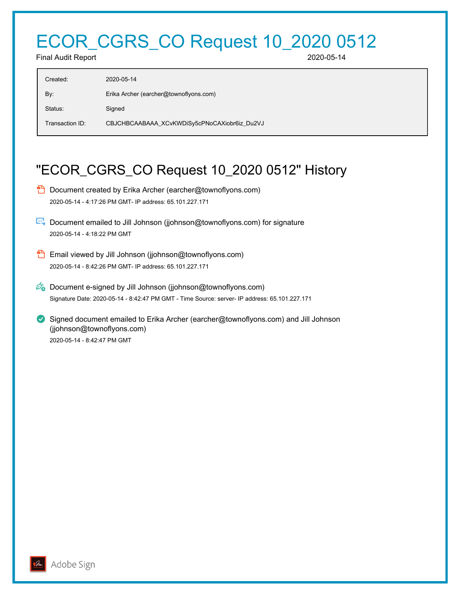## ECOR\_CGRS\_CO Request 10\_2020 0512

Final Audit Report 2020-05-14

| Created:        | 2020-05-14                                   |
|-----------------|----------------------------------------------|
| By:             | Erika Archer (earcher@townoflyons.com)       |
| Status:         | Signed                                       |
| Transaction ID: | CBJCHBCAABAAA_XCvKWDiSy5cPNoCAXiobr6iz_Du2VJ |
|                 |                                              |

## "ECOR\_CGRS\_CO Request 10\_2020 0512" History

- **D** Document created by Erika Archer (earcher@townoflyons.com) 2020-05-14 - 4:17:26 PM GMT- IP address: 65.101.227.171
- Document emailed to Jill Johnson (jjohnson@townoflyons.com) for signature 2020-05-14 - 4:18:22 PM GMT
- **Email viewed by Jill Johnson (jjohnson@townoflyons.com)** 2020-05-14 - 8:42:26 PM GMT- IP address: 65.101.227.171
- $\mathscr{O}_\mathbf{G}$  Document e-signed by Jill Johnson (jjohnson@townoflyons.com) Signature Date: 2020-05-14 - 8:42:47 PM GMT - Time Source: server- IP address: 65.101.227.171
- Signed document emailed to Erika Archer (earcher@townoflyons.com) and Jill Johnson (jjohnson@townoflyons.com) 2020-05-14 - 8:42:47 PM GMT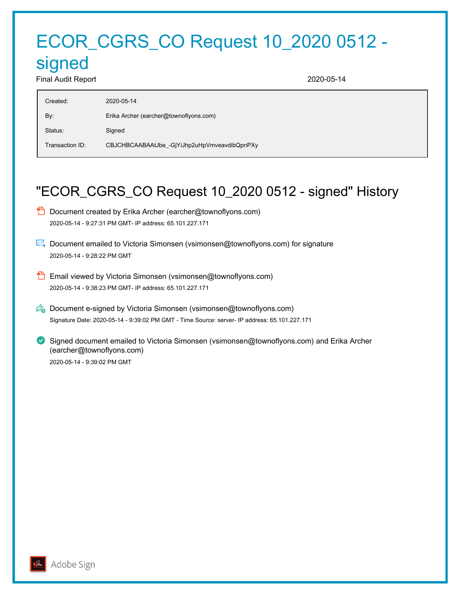# ECOR\_CGRS\_CO Request 10\_2020 0512 -

## signed

Final Audit Report 2020-05-14

| Created:        | 2020-05-14                                   |
|-----------------|----------------------------------------------|
| By:             | Erika Archer (earcher@townoflyons.com)       |
| Status:         | Signed                                       |
| Transaction ID: | CBJCHBCAABAAtJbe_-GjYiJhp2uHpVmveavdibQpnPXy |

## "ECOR\_CGRS\_CO Request 10\_2020 0512 - signed" History

- **D** Document created by Erika Archer (earcher@townoflyons.com) 2020-05-14 - 9:27:31 PM GMT- IP address: 65.101.227.171
- Document emailed to Victoria Simonsen (vsimonsen@townoflyons.com) for signature 2020-05-14 - 9:28:22 PM GMT
- **B** Email viewed by Victoria Simonsen (vsimonsen@townoflyons.com) 2020-05-14 - 9:38:23 PM GMT- IP address: 65.101.227.171
- $\mathscr{O}_\bullet$  Document e-signed by Victoria Simonsen (vsimonsen@townoflyons.com) Signature Date: 2020-05-14 - 9:39:02 PM GMT - Time Source: server- IP address: 65.101.227.171
- Signed document emailed to Victoria Simonsen (vsimonsen@townoflyons.com) and Erika Archer (earcher@townoflyons.com) 2020-05-14 - 9:39:02 PM GMT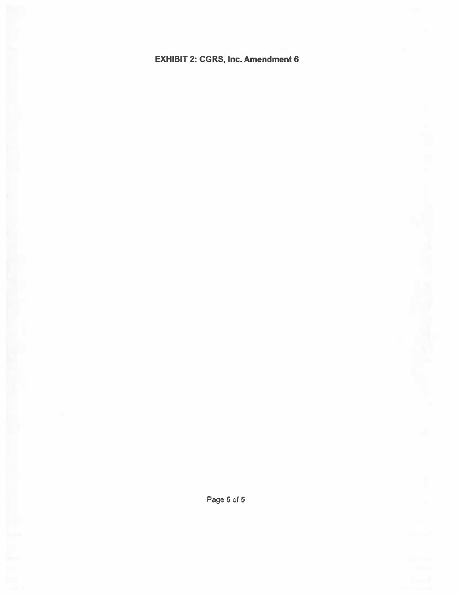## **EXHIBIT 2: CGRS, Inc. Amendment 6**

Page 5 of 5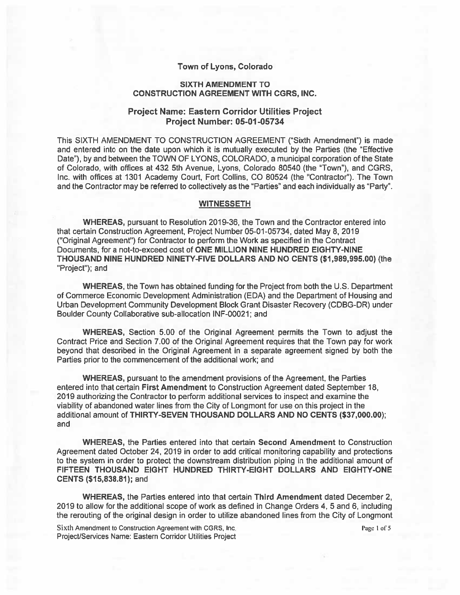#### Town of Lyons, Colorado

#### **SIXTH AMENDMENT TO CONSTRUCTION AGREEMENT WITH CGRS, INC.**

#### **Project Name: Eastern Corridor Utilities Project Project Number: 05-01-05734**

This SIXTH AMENDMENT TO CONSTRUCTION AGREEMENT ("Sixth Amendment") is made and entered into on the date upon which it is mutually executed by the Parties (the "Effective" Date"), by and between the TOWN OF LYONS, COLORADO, a municipal corporation of the State of Colorado, with offices at 432 5th Avenue, Lyons, Colorado 80540 (the "Town"), and CGRS, Inc. with offices at 1301 Academy Court, Fort Collins, CO 80524 (the "Contractor"). The Town and the Contractor may be referred to collectively as the "Parties" and each individually as "Party".

#### **WITNESSETH**

WHEREAS, pursuant to Resolution 2019-36, the Town and the Contractor entered into that certain Construction Agreement, Project Number 05-01-05734, dated May 8, 2019 ("Original Agreement") for Contractor to perform the Work as specified in the Contract Documents, for a not-to-exceed cost of ONE MILLION NINE HUNDRED EIGHTY-NINE THOUSAND NINE HUNDRED NINETY-FIVE DOLLARS AND NO CENTS (\$1,989,995.00) (the "Project"); and

WHEREAS, the Town has obtained funding for the Project from both the U.S. Department of Commerce Economic Development Administration (EDA) and the Department of Housing and Urban Development Community Development Block Grant Disaster Recovery (CDBG-DR) under Boulder County Collaborative sub-allocation INF-00021; and

**WHEREAS, Section 5.00 of the Original Agreement permits the Town to adjust the** Contract Price and Section 7.00 of the Original Agreement requires that the Town pay for work beyond that described in the Original Agreement in a separate agreement signed by both the Parties prior to the commencement of the additional work; and

**WHEREAS, pursuant to the amendment provisions of the Agreement, the Parties** entered into that certain First Amendment to Construction Agreement dated September 18, 2019 authorizing the Contractor to perform additional services to inspect and examine the viability of abandoned water lines from the City of Longmont for use on this project in the additional amount of THIRTY-SEVEN THOUSAND DOLLARS AND NO CENTS (\$37,000.00); and

WHEREAS, the Parties entered into that certain Second Amendment to Construction Agreement dated October 24, 2019 in order to add critical monitoring capability and protections to the system in order to protect the downstream distribution piping in the additional amount of FIFTEEN THOUSAND EIGHT HUNDRED THIRTY-EIGHT DOLLARS AND EIGHTY-ONE CENTS (\$15,838.81); and

WHEREAS, the Parties entered into that certain Third Amendment dated December 2. 2019 to allow for the additional scope of work as defined in Change Orders 4, 5 and 6, including the rerouting of the original design in order to utilize abandoned lines from the City of Longmont

Sixth Amendment to Construction Agreement with CGRS, Inc. Project/Services Name: Eastern Corridor Utilities Project Page 1 of 5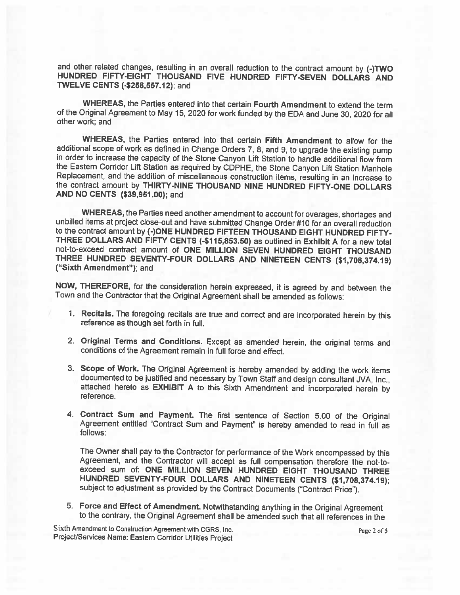and other related changes, resulting in an overall reduction to the contract amount by (-)TWO HUNDRED FIFTY-EIGHT THOUSAND FIVE HUNDRED FIFTY-SEVEN DOLLARS AND TWELVE CENTS (-\$258,557.12); and

WHEREAS, the Parties entered into that certain Fourth Amendment to extend the term of the Original Agreement to May 15, 2020 for work funded by the EDA and June 30, 2020 for all other work; and

WHEREAS, the Parties entered into that certain Fifth Amendment to allow for the additional scope of work as defined in Change Orders 7, 8, and 9, to upgrade the existing pump in order to increase the capacity of the Stone Canyon Lift Station to handle additional flow from the Eastern Corridor Lift Station as required by CDPHE, the Stone Canyon Lift Station Manhole Replacement, and the addition of miscellaneous construction items, resulting in an increase to the contract amount by THIRTY-NINE THOUSAND NINE HUNDRED FIFTY-ONE DOLLARS AND NO CENTS (\$39,951.00); and

WHEREAS, the Parties need another amendment to account for overages, shortages and unbilled items at project close-out and have submitted Change Order #10 for an overall reduction to the contract amount by (-)ONE HUNDRED FIFTEEN THOUSAND EIGHT HUNDRED FIFTY-THREE DOLLARS AND FIFTY CENTS (-\$115,853.50) as outlined in Exhibit A for a new total not-to-exceed contract amount of ONE MILLION SEVEN HUNDRED EIGHT THOUSAND THREE HUNDRED SEVENTY-FOUR DOLLARS AND NINETEEN CENTS (\$1,708,374.19) ("Sixth Amendment"); and

NOW, THEREFORE, for the consideration herein expressed, it is agreed by and between the Town and the Contractor that the Original Agreement shall be amended as follows:

- 1. Recitals. The foregoing recitals are true and correct and are incorporated herein by this reference as though set forth in full.
- 2. Original Terms and Conditions. Except as amended herein, the original terms and conditions of the Agreement remain in full force and effect.
- 3. Scope of Work. The Original Agreement is hereby amended by adding the work items documented to be justified and necessary by Town Staff and design consultant JVA, Inc., attached hereto as EXHIBIT A to this Sixth Amendment and incorporated herein by reference.
- 4. Contract Sum and Payment. The first sentence of Section 5.00 of the Original Agreement entitled "Contract Sum and Payment" is hereby amended to read in full as follows:

The Owner shall pay to the Contractor for performance of the Work encompassed by this Agreement, and the Contractor will accept as full compensation therefore the not-toexceed sum of: ONE MILLION SEVEN HUNDRED EIGHT THOUSAND THREE HUNDRED SEVENTY-FOUR DOLLARS AND NINETEEN CENTS (\$1,708,374.19); subject to adjustment as provided by the Contract Documents ("Contract Price").

5. Force and Effect of Amendment. Notwithstanding anything in the Original Agreement to the contrary, the Original Agreement shall be amended such that all references in the

Sixth Amendment to Construction Agreement with CGRS, Inc. Project/Services Name: Eastern Corridor Utilities Project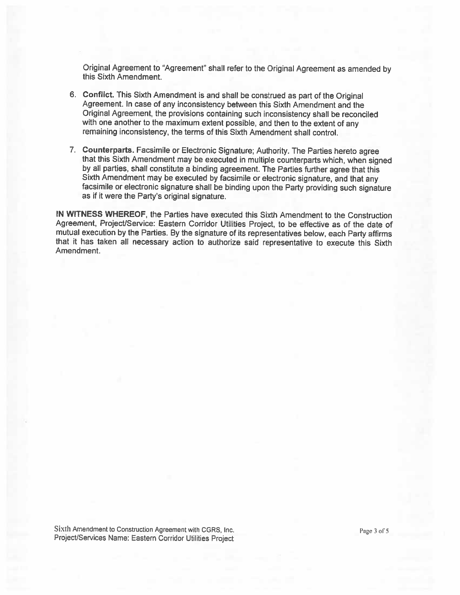Original Agreement to "Agreement" shall refer to the Original Agreement as amended by this Sixth Amendment.

- 6. Conflict. This Sixth Amendment is and shall be construed as part of the Original Agreement. In case of any inconsistency between this Sixth Amendment and the Original Agreement, the provisions containing such inconsistency shall be reconciled with one another to the maximum extent possible, and then to the extent of any remaining inconsistency, the terms of this Sixth Amendment shall control.
- 7. Counterparts. Facsimile or Electronic Signature; Authority. The Parties hereto agree that this Sixth Amendment may be executed in multiple counterparts which, when signed by all parties, shall constitute a binding agreement. The Parties further agree that this Sixth Amendment may be executed by facsimile or electronic signature, and that any facsimile or electronic signature shall be binding upon the Party providing such signature as if it were the Party's original signature.

IN WITNESS WHEREOF, the Parties have executed this Sixth Amendment to the Construction Agreement, Project/Service: Eastern Corridor Utilities Project, to be effective as of the date of mutual execution by the Parties. By the signature of its representatives below, each Party affirms that it has taken all necessary action to authorize said representative to execute this Sixth Amendment.

Sixth Amendment to Construction Agreement with CGRS, Inc. Project/Services Name: Eastern Corridor Utilities Project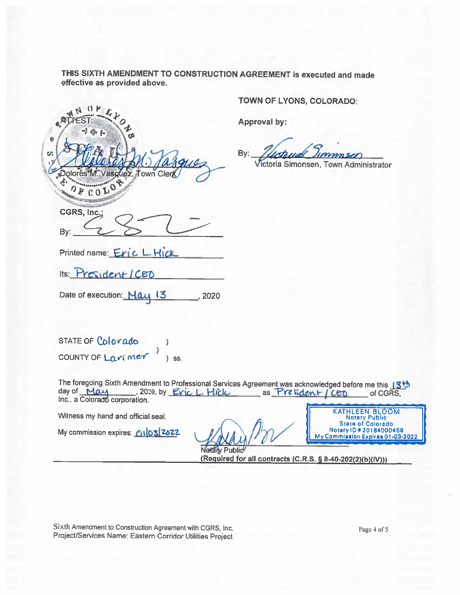THIS SIXTH AMENDMENT TO CONSTRUCTION AGREEMENT is executed and made effective as provided above.

¢.  $50$ Jez, Town Cler  $0800$ **UNIVERSITY** CGRS, Inc.;

TOWN OF LYONS, COLORADO:

Approval by:

By:

Victoria Simonsen, Town Administrator

Printed name: Eric L. Hick

Its: President/CEO

By:

Date of execution: Nay 13 2020

STATE OF Colorado COUNTY OF Larimer<sup>1</sup>  $\log$ 

The foregoing Sixth Amendment to Professional Services Agreement was acknowledged before me this 13th as President / CED day of May  $-2020$  by Eric L. Hick of CGRS. Inc., a Colorado corporation.

Witness my hand and official seal.

My commission expires: 01032672

**KATHLEEN BLOOM Notary Public State of Colorado** Notary ID # 20184000458 My Commission Expires 01-03-2022

Notary Public (Required for all contracts (C.R.S. § 8-40-202(2)(b)(IV)))

Sixth Amendment to Construction Agreement with CGRS, Inc. Project/Services Name: Eastern Corridor Utilities Project

Page 4 of 5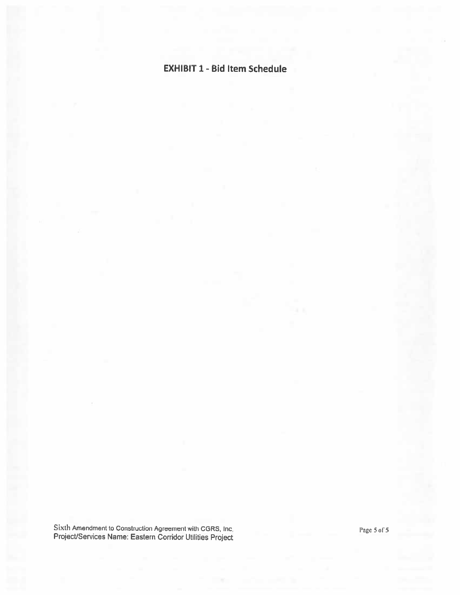## **EXHIBIT 1 - Bid Item Schedule**

Sixth Amendment to Construction Agreement with CGRS, Inc.<br>Project/Services Name: Eastern Corridor Utilities Project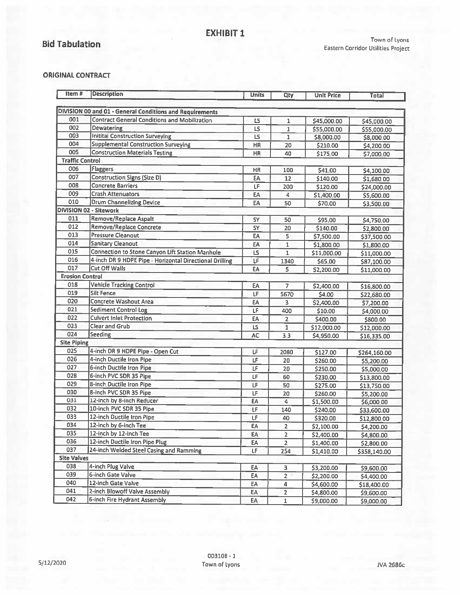## **Bid Tabulation**

#### Town of Lyons Eastern Corridor Utilities Project

#### **ORIGINAL CONTRACT**

| Item#                  | <b>Description</b>                                       | <b>Units</b> | Qty            | <b>Unit Price</b> | <b>Total</b> |
|------------------------|----------------------------------------------------------|--------------|----------------|-------------------|--------------|
|                        |                                                          |              |                |                   |              |
|                        | DIVISION 00 and 01 - General Conditions and Requirements |              |                |                   |              |
| 001                    | <b>Contract General Conditions and Mobilization</b>      | ts.          | $\mathbf{1}$   | \$45,000.00       | \$45,000.00  |
| 002                    | Dewatering                                               | LS           | $\mathbf{1}$   | \$55,000.00       | \$55,000.00  |
| 003                    | <b>Initital Construction Surveying</b>                   | LS.          | $\mathbf{1}$   | \$8,000.00        | \$8,000.00   |
| 004                    | <b>Supplemental Construction Surveying</b>               | <b>HR</b>    | 20             | \$210.00          | \$4,200.00   |
| 005                    | <b>Construction Materials Testing</b>                    | HR.          | 40             | \$175.00          | \$7,000.00   |
| <b>Traffic Control</b> |                                                          |              |                |                   |              |
| 006                    | Flaggers                                                 | HR           | 100            | \$41.00           | \$4,100.00   |
| 007                    | Construction Signs (Size D)                              | EA           | 12             | \$140.00          | \$1,680.00   |
| 008                    | <b>Concrete Barriers</b>                                 | LF           | 200            | \$120.00          | \$24,000.00  |
| 009                    | <b>Crash Attenuators</b>                                 | EA           | 4              | \$1,400.00        | \$5,600.00   |
| 010                    | <b>Drum Channelizing Device</b>                          | EA           | 50             | \$70.00           | \$3,500.00   |
|                        | <b>DIVISION 02 - Sitework</b>                            |              |                |                   |              |
| 011                    | <b>Remove/Replace Aspalt</b>                             | SY           | 50             | \$95.00           | \$4,750.00   |
| 012                    | <b>Remove/Replace Concrete</b>                           | <b>SY</b>    | 20             | \$140.00          | \$2,800.00   |
| 013                    | <b>Pressure Cleanout</b>                                 | EA           | 5              | \$7,500.00        | \$37,500.00  |
| 014                    | <b>Sanitary Cleanout</b>                                 | EA           | $\mathbf{1}$   | \$1,800.00        | \$1,800.00   |
| 015                    | Connection to Stone Canyon Lift Station Manhole          | LS           | 1              | \$11,000.00       | \$11,000.00  |
| 016                    | 4-inch DR 9 HDPE Pipe - Horizontal Directional Drilling  | LF           | 1340           | \$65.00           | \$87,100.00  |
| 017                    | Cut Off Walls                                            | EA           | 5              | \$2,200.00        | \$11,000.00  |
| <b>Erosion Control</b> |                                                          |              |                |                   |              |
| 018                    | <b>Vehicle Tracking Control</b>                          | EA           | 7              | \$2,400.00        | \$16,800.00  |
| 019                    | <b>Silt Fence</b>                                        | LF           | 5670           | \$4.00            | \$22,680.00  |
| 020                    | <b>Concrete Washout Area</b>                             | EA           | 3              | \$2,400.00        | \$7,200.00   |
| 021                    | <b>Sediment Control Log</b>                              | LF           | 400            | \$10.00           | \$4,000.00   |
| 022                    | <b>Culvert Inlet Protection</b>                          | EA           | $\overline{2}$ | \$400.00          | \$800.00     |
| 023                    | Clear and Grub                                           | LS           | $\mathbf{1}$   | \$12,000.00       | \$12,000.00  |
| 024                    | Seeding                                                  | AC           | 3,3            | \$4,950.00        | \$16,335.00  |
| <b>Site Piping</b>     |                                                          |              |                |                   |              |
| 025                    | 4-inch DR 9 HDPE Pipe - Open Cut                         | LF           | 2080           | \$127.00          | \$264,160.00 |
| 026                    | 4-inch Ductile fron Pipe                                 | LF           | 20             | \$260.00          |              |
| 027                    | 6-inch Ductile Iron Pipe                                 | LF           | 20             |                   | \$5,200.00   |
| 028                    | 6-inch PVC SDR 35 Pipe                                   | LF           | 60             | \$250.00          | \$5,000.00   |
| 029                    | 8-inch Ductile Iron Pipe                                 | LF           |                | \$230.00          | \$13,800.00  |
| 030                    | 8-inch PVC SDR 35 Pipe                                   | LF           | 50             | \$275.00          | \$13,750.00  |
| 031                    | 12-inch by 8-inch Reducer                                |              | 20             | \$260.00          | \$5,200.00   |
| 032                    | 10-inch PVC SDR 35 Pipe                                  | EA           | 4              | \$1,500.00        | \$6,000.00   |
| 033                    | 12-inch Ductile Iron Pipe                                | LF           | 140            | \$240.00          | \$33,600.00  |
| 034                    |                                                          | LF           | 40             | \$320.00          | \$12,800.00  |
|                        | 12-inch by 6-inch Tee                                    | EA           | $\overline{2}$ | \$2,100.00        | \$4,200.00   |
| 035                    | 12-inch by 12-inch Tee                                   | EA           | $\overline{2}$ | \$2,400.00        | \$4,800.00   |
| 036                    | 12-inch Ductile Iron Pipe Plug                           | EA           | $\overline{2}$ | \$1,400.00        | \$2,800.00   |
| 037                    | 24-inch Welded Steel Casing and Ramming                  | LF.          | 254            | \$1,410.00        | \$358,140.00 |
| <b>Site Valves</b>     |                                                          |              |                |                   |              |
| 038                    | 4-inch Plug Valve                                        | ËА           | з              | \$3,200.00        | \$9,600.00   |
| 039                    | 6-inch Gate Valve                                        | EA           | $\overline{2}$ | \$2,200.00        | \$4,400.00   |
| 040                    | 12-inch Gate Valve                                       | EA           | 4              | \$4,600.00        | \$18,400.00  |
| 041                    | 2-inch Blowoff Valve Assembly                            | EA           | $\overline{a}$ | \$4,800.00        | \$9,600.00   |
| 042                    | 6-inch Fire Hydrant Assembly                             | EA           | $\mathbf{1}$   | \$9,000.00        | sa nnn nn.   |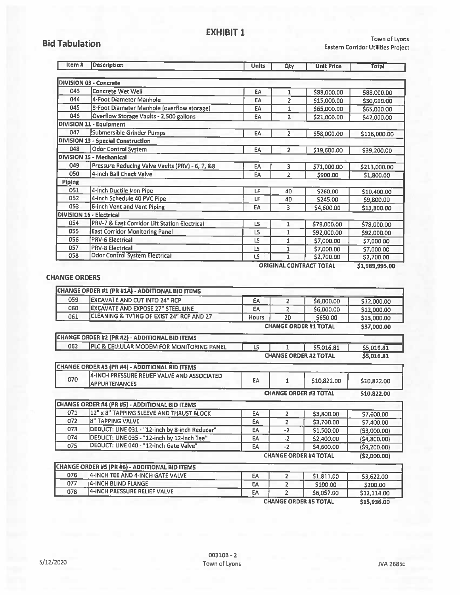### **Bid Tabulation**

Town of Lyons Eastern Corridor Utilities Project

| ltem #        | Description                                              | <b>Units</b> | Qty            | <b>Unit Price</b>              | <b>Total</b>   |
|---------------|----------------------------------------------------------|--------------|----------------|--------------------------------|----------------|
|               |                                                          |              |                |                                |                |
|               | <b>DIVISION 03 - Concrete</b>                            |              |                |                                |                |
| 043           | <b>Concrete Wet Well</b>                                 | EA           | 1              | \$88,000.00                    | \$88,000.00    |
| 044           | 4-Foot Diameter Manhole                                  | EA           | $\overline{2}$ | \$15,000.00                    | \$30,000.00    |
| 045           | 8-Foot Diameter Manhole (overflow storage)               | EA           | 1              | \$65,000.00                    | \$65,000.00    |
| 046           | Overflow Storage Vaults - 2,500 gallons                  | <b>EA</b>    | $\overline{2}$ | \$21,000.00                    | \$42,000.00    |
|               | <b>DIVISION 11 - Equipment</b>                           |              |                |                                |                |
| 047           | Submersible Grinder Pumps                                | EA           | 2              | \$58,000.00                    | \$116,000.00   |
|               | <b>DIVISION 13 - Special Construction</b>                |              |                |                                |                |
| 048           | <b>Odor Control System</b>                               | EA           | 2              | \$19,600.00                    | \$39,200.00    |
|               | <b>DIVISION 15 - Mechanical</b>                          |              |                |                                |                |
| 049           | Pressure Reducing Valve Vaults (PRV) - 6, 7, &8          | EA           | 3              | \$71,000.00                    | \$213,000.00   |
| 050           | 4-inch Ball Check Valve                                  | EA           | 2              | \$900.00                       | \$1,800.00     |
| <b>Piping</b> |                                                          |              |                |                                |                |
| 051           | 4-inch Ductile Iron Pipe                                 | LF           | 40             | \$260.00                       | \$10,400.00    |
| 052           | 4-inch Schedule 40 PVC Pipe                              | LF           | 40             | \$245.00                       | \$9,800.00     |
| 053           | 6-inch Vent and Vent Piping                              | EA           | 3.             | \$4,600.00                     | \$13,800.00    |
|               | <b>DIVISION 16 - Electrical</b>                          |              |                |                                |                |
| 054           | <b>PRV-7 &amp; East Corridor Lift Station Electrical</b> | LS           | $\mathbf{1}$   | \$78,000.00                    | \$78,000.00    |
| 055           | <b>East Corridor Monitoring Panel</b>                    | LS           | 1              | \$92,000.00                    | \$92,000.00    |
| 056           | <b>PRV-6 Electrical</b>                                  | LS           | 1              | \$7,000.00                     | \$7,000.00     |
| 057           | <b>PRV-8 Electrical</b>                                  | LS           | 1              | \$7,000.00                     | \$7,000.00     |
| 058           | <b>Odor Control System Electrical</b>                    | LS           | 1              | \$2,700.00                     | \$2,700.00     |
|               |                                                          |              |                | <b>ORIGINAL CONTRACT TOTAL</b> | \$1,989,995.00 |

#### **CHANGE ORDERS**

|     | CHANGE ORDER #1 (PR #1A) - ADDITIONAL BID ITEMS |              |    |                              |             |
|-----|-------------------------------------------------|--------------|----|------------------------------|-------------|
| 059 | <b>EXCAVATE AND CUT INTO 24" RCP</b>            | EA           |    | \$6,000.00                   | \$12,000.00 |
| 060 | <b>EXCAVATE AND EXPOSE 27" STEEL LINE</b>       | EA           |    | \$6,000.00                   | \$12,000.00 |
| 061 | CLEANING & TV'ING OF EXIST 24" RCP AND 27       | <b>Hours</b> | 20 | \$650.00                     | \$13,000.00 |
|     |                                                 |              |    | <b>CHANGE ORDER #1 TOTAL</b> | \$37,000.00 |

|     | CHANGE ORDER #2 (PR #2) - ADDITIONAL BID ITEMS                      |    |                |                              |               |
|-----|---------------------------------------------------------------------|----|----------------|------------------------------|---------------|
| 062 | PLC & CELLULAR MODEM FOR MONITORING PANEL                           | LS |                | \$5,016.81                   | \$5,016.81    |
|     |                                                                     |    |                | <b>CHANGE ORDER #2 TOTAL</b> | \$5,016.81    |
|     | CHANGE ORDER #3 (PR #4) - ADDITIONAL BID ITEMS                      |    |                |                              |               |
| 070 | 4-INCH PRESSURE RELIEF VALVE AND ASSOCIATED<br><b>APPURTENANCES</b> | EA | 1              | \$10,822.00                  | \$10,822.00   |
|     |                                                                     |    |                | <b>CHANGE ORDER #3 TOTAL</b> | \$10,822.00   |
|     | CHANGE ORDER #4 (PR #5) - ADDITIONAL BID ITEMS                      |    |                |                              |               |
| 071 | 12" x 8" TAPPING SLEEVE AND THRUST BLOCK                            | EA | 2              | \$3,800.00                   | \$7,600.00    |
| 072 | <b>8" TAPPING VALVE</b>                                             | EA | 2              | \$3,700.00                   | \$7,400.00    |
| 073 | DEDUCT: LINE 031 - "12-inch by 8-inch Reducer"                      | EA | $-2$           | \$1,500.00                   | (53,000.00)   |
| 074 | DEDUCT: LINE 035 - "12-inch by 12-inch Tee"                         | EA | $-2$           | \$2,400.00                   | (54,800.00)   |
| 075 | DEDUCT: LINE 040 - "12-inch Gate Valve"                             | EA | $-2$           | \$4,600.00                   | (59,200.00)   |
|     |                                                                     |    |                | <b>CHANGE ORDER #4 TOTAL</b> | ( \$2,000.00) |
|     | <b>CHANGE ORDER #5 (PR #6) - ADDITIONAL BID ITEMS</b>               |    |                |                              |               |
| 076 | 4-INCH TEE AND 4-INCH GATE VALVE                                    | EA | $\overline{2}$ | \$1,811.00                   | \$3,622.00    |
| 077 | 4-INCH BLIND FLANGE                                                 | EA | 2.             | \$100.00                     | \$200.00      |
| 078 | 4-INCH PRESSURE RELIEF VALVE                                        | EA | 2              | \$6,057.00                   | \$12,114.00   |
|     |                                                                     |    |                | <b>CHANGE ORDER #5 TOTAL</b> | \$15,936,00   |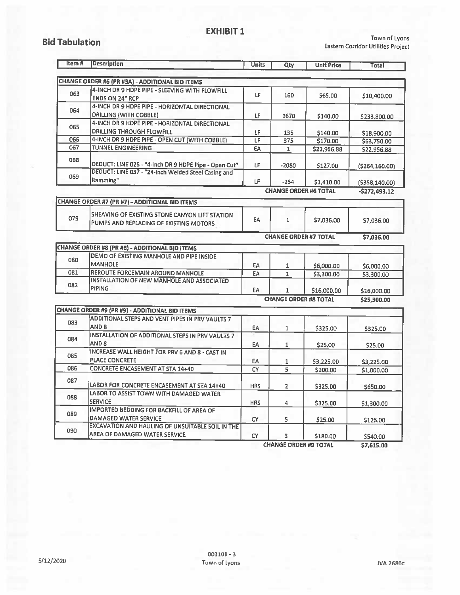### **EXHIBIT 1**

### **Bid Tabulation**

Town of Lyons Eastern Corridor Utilities Project

| Item# | <b>Description</b>                                                                       | <b>Units</b> | Qty            | <b>Unit Price</b>            | Total            |
|-------|------------------------------------------------------------------------------------------|--------------|----------------|------------------------------|------------------|
|       | <b>CHANGE ORDER #6 (PR #3A) - ADDITIONAL BID ITEMS</b>                                   |              |                |                              |                  |
| 063   | 4-INCH DR 9 HDPE PIPE - SLEEVING WITH FLOWFILL<br><b>ENDS ON 24" RCP</b>                 | LF           | 160            | \$65.00                      | \$10,400.00      |
| 064   | 4-INCH DR 9 HDPE PIPE - HORIZONTAL DIRECTIONAL<br>DRILLING (WITH COBBLE)                 | LF           | 1670           | \$140.00                     | \$233,800.00     |
| 065   | 4-INCH DR 9 HOPE PIPE - HORIZONTAL DIRECTIONAL<br><b>DRILLING THROUGH FLOWFILL</b>       | LF           | 135            | \$140.00                     | \$18,900.00      |
| 066   | 4-INCH DR 9 HDPE PIPE - OPEN CUT (WITH COBBLE)                                           | LF           | 375            | \$170.00                     | \$63,750.00      |
| 067   | <b>TUNNEL ENGINEERING</b>                                                                | EA           | $\mathbf{1}$   | \$22,956.88                  | \$22,956.88      |
| 068   | DEDUCT: LINE 025 - "4-inch DR 9 HDPE Pipe - Open Cut"                                    | LF           | $-2080$        | \$127.00                     | ( \$264, 160.00) |
| 069   | DEDUCT: LINE 037 - "24-inch Welded Steel Casing and<br>Ramming"                          | LF           | $-254$         | \$1,410.00                   | (5358, 140.00)   |
|       |                                                                                          |              |                | <b>CHANGE ORDER #6 TOTAL</b> | $-5272,493.12$   |
|       | <b>CHANGE ORDER #7 (PR #7) - ADDITIONAL BID ITEMS</b>                                    |              |                |                              |                  |
| 079   | SHEAVING OF EXISTING STONE CANYON LIFT STATION<br>PUMPS AND REPLACING OF EXISTING MOTORS | EA           | $\mathbf{1}$   | \$7,036.00                   | \$7,036.00       |
|       |                                                                                          |              |                | <b>CHANGE ORDER #7 TOTAL</b> | \$7,036.00       |
|       | <b>CHANGE ORDER #8 (PR #8) - ADDITIONAL BID ITEMS</b>                                    |              |                |                              |                  |
| 080   | DEMO OF EXISTING MANHOLE AND PIPE INSIDE<br><b>MANHOLE</b>                               | EA           | 1              | \$6,000.00                   | \$6,000.00       |
| 081   | REROUTE FORCEMAIN AROUND MANHOLE                                                         | EA           | $\mathbf{1}$   | \$3,300.00                   | \$3,300.00       |
| 082   | <b>INSTALLATION OF NEW MANHOLE AND ASSOCIATED</b><br>PIPING                              | EA           | 1              | \$16,000.00                  | \$16,000.00      |
|       |                                                                                          |              |                | <b>CHANGE ORDER #8 TOTAL</b> | \$25,300.00      |
|       | <b>CHANGE ORDER #9 (PR #9) - ADDITIONAL BID ITEMS</b>                                    |              |                |                              |                  |
| 083   | ADDITIONAL STEPS AND VENT PIPES IN PRV VAULTS 7<br>AND 8                                 | EA           | $\mathbf{1}$   | \$325.00                     | \$325.00         |
| 084   | INSTALLATION OF ADDITIONAL STEPS IN PRV VAULTS 7<br>AND <sub>8</sub>                     | EA           | $\mathbf{1}$   | \$25.00                      | \$25.00          |
| 085   | INCREASE WALL HEIGHT FOR PRV 6 AND 8 - CAST IN<br><b>PLACE CONCRETE</b>                  | EA           | 1              | \$3,225.00                   | \$3,225.00       |
| 086   | <b>CONCRETE ENCASEMENT AT STA 14+40</b>                                                  | <b>CY</b>    | 5              | \$200.00                     | \$1,000.00       |
| 087   | LABOR FOR CONCRETE ENCASEMENT AT STA 14+40                                               | <b>HRS</b>   | $\overline{2}$ | \$325.00                     | \$650.00         |
| 088   | LABOR TO ASSIST TOWN WITH DAMAGED WATER<br><b>SERVICE</b>                                | <b>HRS</b>   | 4              | \$325.00                     | \$1,300.00       |
| 089   | <b>IMPORTED BEDDING FOR BACKFILL OF AREA OF</b><br><b>DAMAGED WATER SERVICE</b>          | CY           | 5              | \$25,00                      | \$125.00         |
| 090   | EXCAVATION AND HAULING OF UNSUITABLE SOIL IN THE<br>AREA OF DAMAGED WATER SERVICE        | <b>CY</b>    | 3              | \$180.00                     | \$540.00         |

**CHANGE ORDER #9 TOTAL**  $$7,615.00$